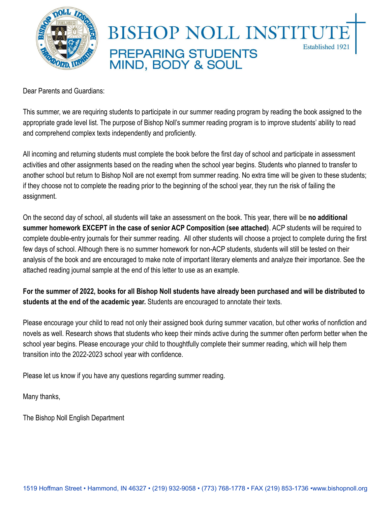

# **BISHOP NOLL INSTITUT Established 1921 PREPARING STUDENTS** MIND, BODY & SOUL

Dear Parents and Guardians:

This summer, we are requiring students to participate in our summer reading program by reading the book assigned to the appropriate grade level list. The purpose of Bishop Noll's summer reading program is to improve students' ability to read and comprehend complex texts independently and proficiently.

All incoming and returning students must complete the book before the first day of school and participate in assessment activities and other assignments based on the reading when the school year begins. Students who planned to transfer to another school but return to Bishop Noll are not exempt from summer reading. No extra time will be given to these students; if they choose not to complete the reading prior to the beginning of the school year, they run the risk of failing the assignment.

On the second day of school, all students will take an assessment on the book. This year, there will be **no additional summer homework EXCEPT in the case of senior ACP Composition (see attached)**. ACP students will be required to complete double-entry journals for their summer reading. All other students will choose a project to complete during the first few days of school. Although there is no summer homework for non-ACP students, students will still be tested on their analysis of the book and are encouraged to make note of important literary elements and analyze their importance. See the attached reading journal sample at the end of this letter to use as an example.

**For the summer of 2022, books for all Bishop Noll students have already been purchased and will be distributed to students at the end of the academic year.** Students are encouraged to annotate their texts.

Please encourage your child to read not only their assigned book during summer vacation, but other works of nonfiction and novels as well. Research shows that students who keep their minds active during the summer often perform better when the school year begins. Please encourage your child to thoughtfully complete their summer reading, which will help them transition into the 2022-2023 school year with confidence.

Please let us know if you have any questions regarding summer reading.

Many thanks,

The Bishop Noll English Department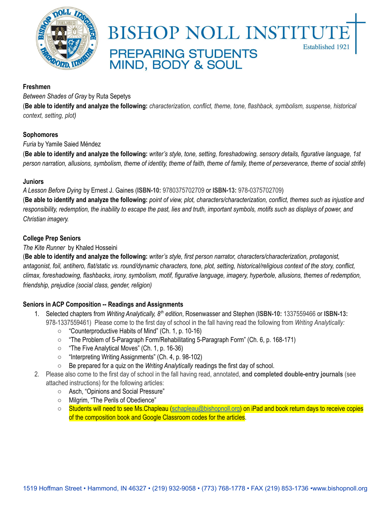

### **BISHOP NOLL INSTITUT Established 1921 PREPARING STUDENTS** MIND, BODY & SOUL

#### **Freshmen**

*Between Shades of Gray* by Ruta Sepetys

(Be able to identify and analyze the following: characterization, conflict, theme, tone, flashback, symbolism, suspense, historical *context, setting, plot)*

#### **Sophomores**

*Furia* by Yamile Saied Méndez

(Be able to identify and analyze the following: writer's style, tone, setting, foreshadowing, sensory details, figurative language, 1st person narration, allusions, symbolism, theme of identity, theme of faith, theme of family, theme of perseverance, theme of social strife)

#### **Juniors**

*A Lesson Before Dying* by Ernest J. Gaines (**ISBN-10:** 9780375702709 or **ISBN-13:** 978-0375702709)

(Be able to identify and analyze the following: point of view, plot, characters/characterization, conflict, themes such as injustice and responsibility, redemption, the inability to escape the past, lies and truth, important symbols, motifs such as displays of power, and *Christian imagery.*

#### **College Prep Seniors**

#### *The Kite Runner* by Khaled Hosseini

(Be able to identify and analyze the following: writer's style, first person narrator, characters/characterization, protagonist, antagonist, foil, antihero, flat/static vs. round/dynamic characters, tone, plot, setting, historical/religious context of the story, conflict, climax, foreshadowing, flashbacks, irony, symbolism, motif, figurative language, imagery, hyperbole, allusions, themes of redemption, *friendship, prejudice (social class, gender, religion)*

#### **Seniors in ACP Composition -- Readings and Assignments**

- 1. Selected chapters from *Writing Analytically, 8 th edition*, Rosenwasser and Stephen (**ISBN-10:** 1337559466 or **ISBN-13:** 978-1337559461) Please come to the first day of school in the fall having read the following from *Writing Analytically:*
	- "Counterproductive Habits of Mind" (Ch. 1, p. 10-16)
	- "The Problem of 5-Paragraph Form/Rehabilitating 5-Paragraph Form" (Ch. 6, p. 168-171)
	- "The Five Analytical Moves" (Ch. 1, p. 16-36)
	- "Interpreting Writing Assignments" (Ch. 4, p. 98-102)
	- Be prepared for a quiz on the *Writing Analytically* readings the first day of school.
- 2. Please also come to the first day of school in the fall having read, annotated, **and completed double-entry journals** (see attached instructions) for the following articles:
	- Asch, "Opinions and Social Pressure"
	- Milgrim, "The Perils of Obedience"
	- Students will need to see Ms. Chapleau [\(schapleau@bishopnoll.org\)](mailto:schapleau@bishopnoll.org) on iPad and book return days to receive copies of the composition book and Google Classroom codes for the articles.